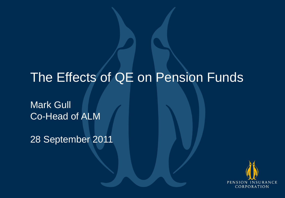# The Effects of QE on Pension Funds

Mark Gull Co-Head of ALM

28 September 2011

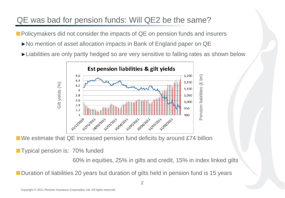# QE was bad for pension funds: Will QE2 be the same?

**Policymakers did not consider the impacts of QE on pension funds and insurers** 

- ►No mention of asset allocation impacts in Bank of England paper on QE
- ►Liabilities are only partly hedged so are very sensitive to falling rates as shown below



■ We estimate that QE increased pension fund deficits by around £74 billion

**Typical pension is: 70% funded** 

60% in equities, 25% in gilts and credit, 15% in index linked gilts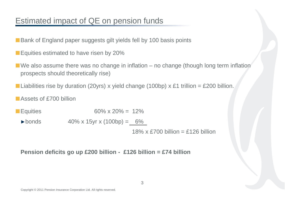# Estimated impact of QE on pension funds

- Bank of England paper suggests gilt yields fell by 100 basis points
- **Equities estimated to have risen by 20%**
- $\blacksquare$  We also assume there was no change in inflation no change (though long term inflation prospects should theoretically rise)
- Liabilities rise by duration (20yrs) x yield change (100bp) x £1 trillion = £200 billion.
- **Assets of £700 billion**
- **Equities** 60% x 20% =  $12%$ 
	- $\blacktriangleright$  bonds 40% x 15yr x (100bp) = 6%

18% x £700 billion = £126 billion

**Pension deficits go up £200 billion - £126 billion = £74 billion**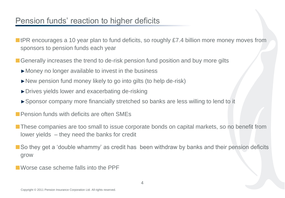# Pension funds' reaction to higher deficits

- tPR encourages a 10 year plan to fund deficits, so roughly £7.4 billion more money moves from sponsors to pension funds each year
- Generally increases the trend to de-risk pension fund position and buy more gilts
	- ►Money no longer available to invest in the business
	- ►New pension fund money likely to go into gilts (to help de-risk)
	- ►Drives yields lower and exacerbating de-risking
	- ►Sponsor company more financially stretched so banks are less willing to lend to it
- **Pension funds with deficits are often SMEs**
- **These companies are too small to issue corporate bonds on capital markets, so no benefit from** lower yields – they need the banks for credit
- So they get a 'double whammy' as credit has been withdraw by banks and their pension deficits grow
- Worse case scheme falls into the PPF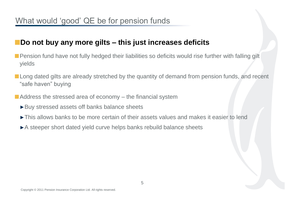### **Do not buy any more gilts – this just increases deficits**

- **Pension fund have not fully hedged their liabilities so deficits would rise further with falling gilt** yields
- **Long dated gilts are already stretched by the quantity of demand from pension funds, and recent** "safe haven" buying
- $\blacksquare$  Address the stressed area of economy  $-$  the financial system
	- ►Buy stressed assets off banks balance sheets
	- ►This allows banks to be more certain of their assets values and makes it easier to lend
	- ►A steeper short dated yield curve helps banks rebuild balance sheets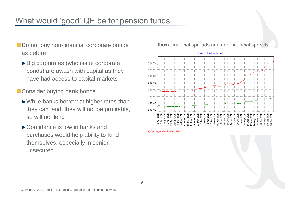# What would 'good' QE be for pension funds

- Do not buy non-financial corporate bonds as before
	- ►Big corporates (who issue corporate bonds) are awash with capital as they have had access to capital markets
- Consider buying bank bonds
	- ►While banks borrow at higher rates than they can lend, they will not be profitable, so will not lend
	- ►Confidence is low in banks and purchases would help ability to fund themselves, especially in senior unsecured

### Iboxx financial spreads and non-financial spreads



©Barclays Bank PLC, 2011